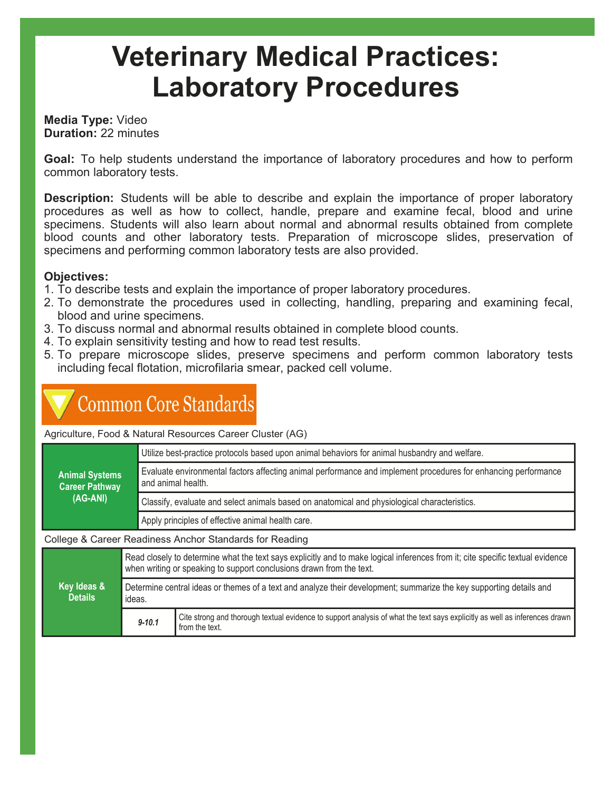# Veterinary Medical Practices: Laboratory Procedures

### Media Type: Video Duration: 22 minutes

Goal: To help students understand the importance of laboratory procedures and how to perform common laboratory tests.

**Description:** Students will be able to describe and explain the importance of proper laboratory procedures as well as how to collect, handle, prepare and examine fecal, blood and urine specimens. Students will also learn about normal and abnormal results obtained from complete blood counts and other laboratory tests. Preparation of microscope slides, preservation of specimens and performing common laboratory tests are also provided.

### Objectives:

- 1. To describe tests and explain the importance of proper laboratory procedures.
- 2. To demonstrate the procedures used in collecting, handling, preparing and examining fecal, blood and urine specimens.
- 3. To discuss normal and abnormal results obtained in complete blood counts.
- 4. To explain sensitivity testing and how to read test results.
- 5. To prepare microscope slides, preserve specimens and perform common laboratory tests including fecal flotation, microfilaria smear, packed cell volume.

## **Common Core Standards**

Agriculture, Food & Natural Resources Career Cluster (AG)

| <b>Animal Systems</b><br><b>Career Pathway</b><br>(AG-ANI) | Utilize best-practice protocols based upon animal behaviors for animal husbandry and welfare.                                        |  |
|------------------------------------------------------------|--------------------------------------------------------------------------------------------------------------------------------------|--|
|                                                            | Evaluate environmental factors affecting animal performance and implement procedures for enhancing performance<br>and animal health. |  |
|                                                            | Classify, evaluate and select animals based on anatomical and physiological characteristics.                                         |  |
|                                                            | Apply principles of effective animal health care.                                                                                    |  |
| College & Career Readiness Anchor Standards for Reading    |                                                                                                                                      |  |

Key Ideas & **Details** Read closely to determine what the text says explicitly and to make logical inferences from it; cite specific textual evidence when writing or speaking to support conclusions drawn from the text. Determine central ideas or themes of a text and analyze their development; summarize the key supporting details and ideas. 9-10.1 Cite strong and thorough textual evidence to support analysis of what the text says explicitly as well as inferences drawn from the text.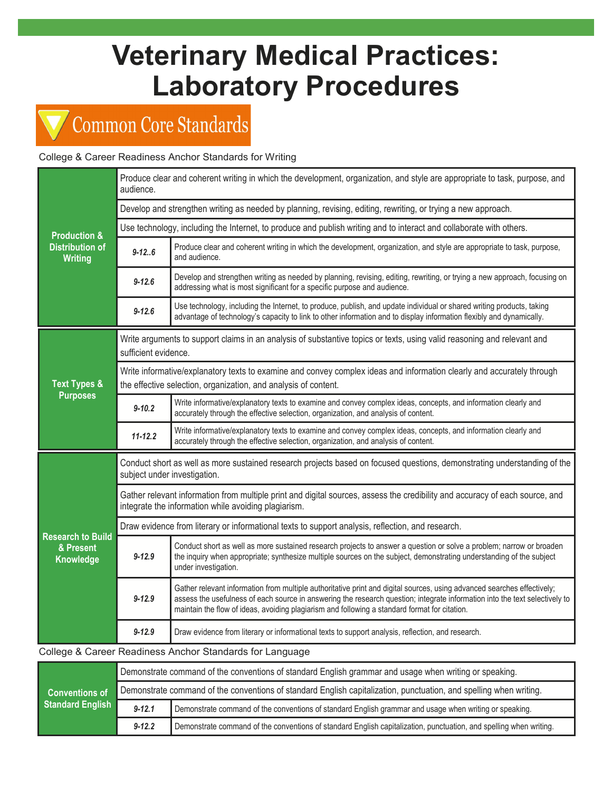# Veterinary Medical Practices: Laboratory Procedures

## Common Core Standards

### College & Career Readiness Anchor Standards for Writing

| <b>Production &amp;</b><br><b>Distribution of</b><br><b>Writing</b> | Produce clear and coherent writing in which the development, organization, and style are appropriate to task, purpose, and<br>audience.                                                   |                                                                                                                                                                                                                                                                                                                                                         |  |  |  |
|---------------------------------------------------------------------|-------------------------------------------------------------------------------------------------------------------------------------------------------------------------------------------|---------------------------------------------------------------------------------------------------------------------------------------------------------------------------------------------------------------------------------------------------------------------------------------------------------------------------------------------------------|--|--|--|
|                                                                     | Develop and strengthen writing as needed by planning, revising, editing, rewriting, or trying a new approach.                                                                             |                                                                                                                                                                                                                                                                                                                                                         |  |  |  |
|                                                                     | Use technology, including the Internet, to produce and publish writing and to interact and collaborate with others.                                                                       |                                                                                                                                                                                                                                                                                                                                                         |  |  |  |
|                                                                     | $9 - 12.6$                                                                                                                                                                                | Produce clear and coherent writing in which the development, organization, and style are appropriate to task, purpose,<br>and audience.                                                                                                                                                                                                                 |  |  |  |
|                                                                     | $9 - 12.6$                                                                                                                                                                                | Develop and strengthen writing as needed by planning, revising, editing, rewriting, or trying a new approach, focusing on<br>addressing what is most significant for a specific purpose and audience.                                                                                                                                                   |  |  |  |
|                                                                     | $9 - 12.6$                                                                                                                                                                                | Use technology, including the Internet, to produce, publish, and update individual or shared writing products, taking<br>advantage of technology's capacity to link to other information and to display information flexibly and dynamically.                                                                                                           |  |  |  |
| <b>Text Types &amp;</b><br><b>Purposes</b>                          | Write arguments to support claims in an analysis of substantive topics or texts, using valid reasoning and relevant and<br>sufficient evidence.                                           |                                                                                                                                                                                                                                                                                                                                                         |  |  |  |
|                                                                     | Write informative/explanatory texts to examine and convey complex ideas and information clearly and accurately through<br>the effective selection, organization, and analysis of content. |                                                                                                                                                                                                                                                                                                                                                         |  |  |  |
|                                                                     | $9 - 10.2$                                                                                                                                                                                | Write informative/explanatory texts to examine and convey complex ideas, concepts, and information clearly and<br>accurately through the effective selection, organization, and analysis of content.                                                                                                                                                    |  |  |  |
|                                                                     | $11 - 12.2$                                                                                                                                                                               | Write informative/explanatory texts to examine and convey complex ideas, concepts, and information clearly and<br>accurately through the effective selection, organization, and analysis of content.                                                                                                                                                    |  |  |  |
|                                                                     | Conduct short as well as more sustained research projects based on focused questions, demonstrating understanding of the<br>subject under investigation.                                  |                                                                                                                                                                                                                                                                                                                                                         |  |  |  |
|                                                                     | Gather relevant information from multiple print and digital sources, assess the credibility and accuracy of each source, and<br>integrate the information while avoiding plagiarism.      |                                                                                                                                                                                                                                                                                                                                                         |  |  |  |
|                                                                     | Draw evidence from literary or informational texts to support analysis, reflection, and research.                                                                                         |                                                                                                                                                                                                                                                                                                                                                         |  |  |  |
| <b>Research to Build</b><br>& Present<br>Knowledge                  | $9 - 12.9$                                                                                                                                                                                | Conduct short as well as more sustained research projects to answer a question or solve a problem; narrow or broaden<br>the inquiry when appropriate; synthesize multiple sources on the subject, demonstrating understanding of the subject<br>under investigation.                                                                                    |  |  |  |
|                                                                     | $9 - 12.9$                                                                                                                                                                                | Gather relevant information from multiple authoritative print and digital sources, using advanced searches effectively;<br>assess the usefulness of each source in answering the research question; integrate information into the text selectively to<br>maintain the flow of ideas, avoiding plagiarism and following a standard format for citation. |  |  |  |
|                                                                     | $9 - 12.9$                                                                                                                                                                                | Draw evidence from literary or informational texts to support analysis, reflection, and research.                                                                                                                                                                                                                                                       |  |  |  |

### College & Career Readiness Anchor Standards for Language

| <b>Conventions of</b><br><b>Standard English</b> | Demonstrate command of the conventions of standard English grammar and usage when writing or speaking.             |                                                                                                                    |  |  |  |
|--------------------------------------------------|--------------------------------------------------------------------------------------------------------------------|--------------------------------------------------------------------------------------------------------------------|--|--|--|
|                                                  | Demonstrate command of the conventions of standard English capitalization, punctuation, and spelling when writing. |                                                                                                                    |  |  |  |
|                                                  | $9 - 12.1$                                                                                                         | Demonstrate command of the conventions of standard English grammar and usage when writing or speaking.             |  |  |  |
|                                                  | $9 - 12.2$                                                                                                         | Demonstrate command of the conventions of standard English capitalization, punctuation, and spelling when writing. |  |  |  |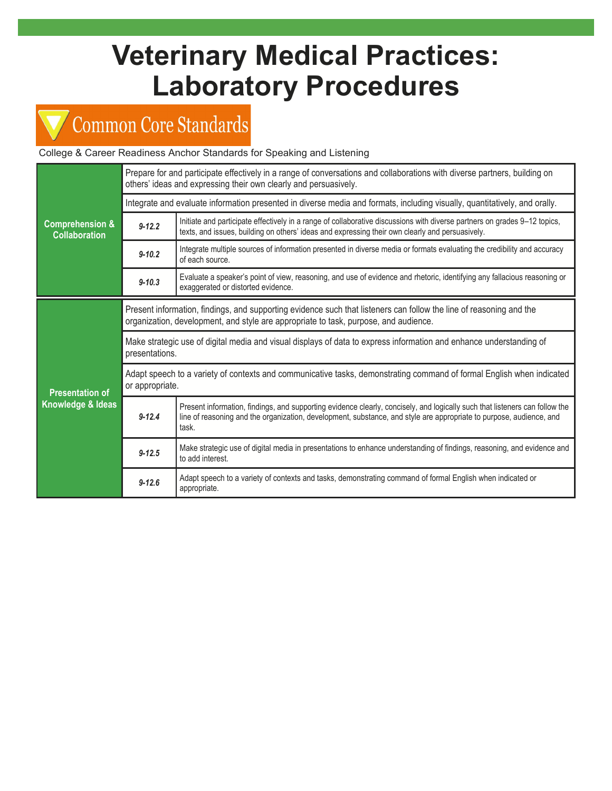# Veterinary Medical Practices: Laboratory Procedures

## Common Core Standards

### College & Career Readiness Anchor Standards for Speaking and Listening

| <b>Comprehension &amp;</b><br><b>Collaboration</b> | Prepare for and participate effectively in a range of conversations and collaborations with diverse partners, building on<br>others' ideas and expressing their own clearly and persuasively.               |                                                                                                                                                                                                                                                             |  |  |  |
|----------------------------------------------------|-------------------------------------------------------------------------------------------------------------------------------------------------------------------------------------------------------------|-------------------------------------------------------------------------------------------------------------------------------------------------------------------------------------------------------------------------------------------------------------|--|--|--|
|                                                    | Integrate and evaluate information presented in diverse media and formats, including visually, quantitatively, and orally.                                                                                  |                                                                                                                                                                                                                                                             |  |  |  |
|                                                    | $9 - 12.2$                                                                                                                                                                                                  | Initiate and participate effectively in a range of collaborative discussions with diverse partners on grades 9-12 topics,<br>texts, and issues, building on others' ideas and expressing their own clearly and persuasively.                                |  |  |  |
|                                                    | $9 - 10.2$                                                                                                                                                                                                  | Integrate multiple sources of information presented in diverse media or formats evaluating the credibility and accuracy<br>of each source.                                                                                                                  |  |  |  |
|                                                    | $9 - 10.3$                                                                                                                                                                                                  | Evaluate a speaker's point of view, reasoning, and use of evidence and rhetoric, identifying any fallacious reasoning or<br>exaggerated or distorted evidence.                                                                                              |  |  |  |
| <b>Presentation of</b><br>Knowledge & Ideas        | Present information, findings, and supporting evidence such that listeners can follow the line of reasoning and the<br>organization, development, and style are appropriate to task, purpose, and audience. |                                                                                                                                                                                                                                                             |  |  |  |
|                                                    | Make strategic use of digital media and visual displays of data to express information and enhance understanding of<br>presentations.                                                                       |                                                                                                                                                                                                                                                             |  |  |  |
|                                                    | Adapt speech to a variety of contexts and communicative tasks, demonstrating command of formal English when indicated<br>or appropriate.                                                                    |                                                                                                                                                                                                                                                             |  |  |  |
|                                                    | $9 - 12.4$                                                                                                                                                                                                  | Present information, findings, and supporting evidence clearly, concisely, and logically such that listeners can follow the<br>line of reasoning and the organization, development, substance, and style are appropriate to purpose, audience, and<br>task. |  |  |  |
|                                                    | $9 - 12.5$                                                                                                                                                                                                  | Make strategic use of digital media in presentations to enhance understanding of findings, reasoning, and evidence and<br>to add interest.                                                                                                                  |  |  |  |
|                                                    | $9 - 12.6$                                                                                                                                                                                                  | Adapt speech to a variety of contexts and tasks, demonstrating command of formal English when indicated or<br>appropriate.                                                                                                                                  |  |  |  |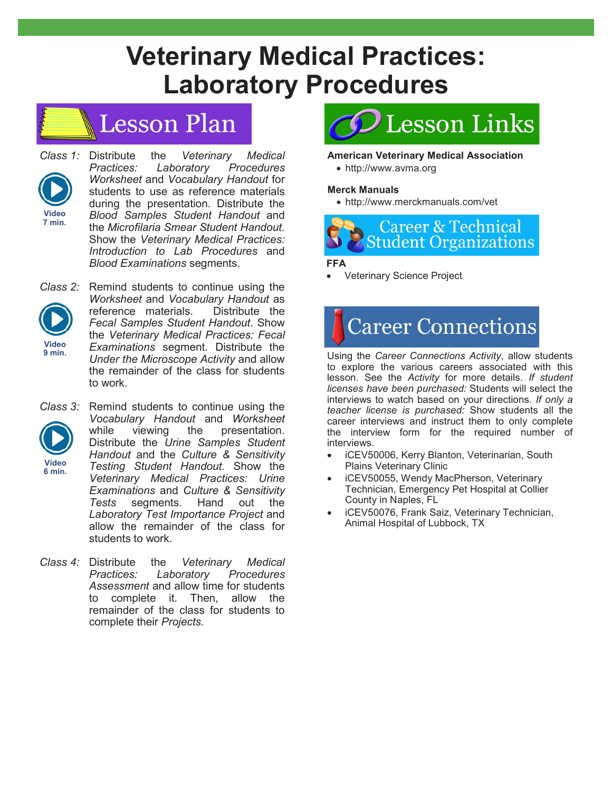## Veterinary Medical Practices: Laboratory Procedures

### **Lesson Plan**



Class 1: Distribute the Veterinary Medical Practices: Laboratory Procedures Worksheet and Vocabulary Handout for students to use as reference materials during the presentation. Distribute the Blood Samples Student Handout and the Microfilaria Smear Student Handout. Show the Veterinary Medical Practices: Introduction to Lab Procedures and Blood Examinations segments.



Class 2: Remind students to continue using the Worksheet and Vocabulary Handout as reference materials. Distribute the Fecal Samples Student Handout. Show the Veterinary Medical Practices: Fecal Examinations segment. Distribute the Under the Microscope Activity and allow the remainder of the class for students to work.



Class 3: Remind students to continue using the Vocabulary Handout and Worksheet while viewing the presentation. Distribute the Urine Samples Student Handout and the Culture & Sensitivity Testing Student Handout. Show the Veterinary Medical Practices: Urine Examinations and Culture & Sensitivity Tests segments. Hand out the Laboratory Test Importance Project and allow the remainder of the class for students to work.

Class 4: Distribute the Veterinary Medical Practices: Laboratory Procedures Assessment and allow time for students to complete it. Then, allow the remainder of the class for students to complete their Projects.

# Lesson Links

### American Veterinary Medical Association

· http://www.avma.org

### Merck Manuals

· http://www.merckmanuals.com/vet



### FFA

**Veterinary Science Project** 

# **Career Connections**

Using the Career Connections Activity, allow students to explore the various careers associated with this lesson. See the Activity for more details. If student licenses have been purchased: Students will select the interviews to watch based on your directions. If only a teacher license is purchased: Show students all the career interviews and instruct them to only complete the interview form for the required number of interviews.

- iCEV50006, Kerry Blanton, Veterinarian, South Plains Veterinary Clinic
- iCEV50055, Wendy MacPherson, Veterinary Technician, Emergency Pet Hospital at Collier County in Naples, FL
- iCEV50076, Frank Saiz, Veterinary Technician, Animal Hospital of Lubbock, TX